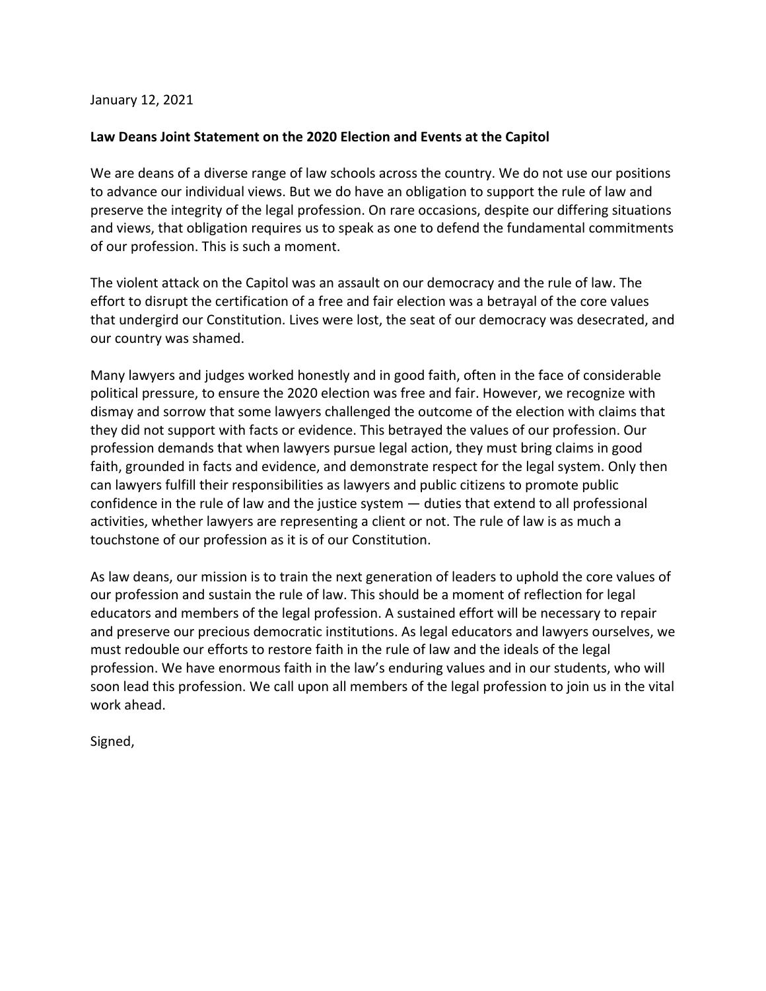January 12, 2021

## **Law Deans Joint Statement on the 2020 Election and Events at the Capitol**

 We are deans of a diverse range of law schools across the country. We do not use our positions to advance our individual views. But we do have an obligation to support the rule of law and preserve the integrity of the legal profession. On rare occasions, despite our differing situations and views, that obligation requires us to speak as one to defend the fundamental commitments of our profession. This is such a moment.

 The violent attack on the Capitol was an assault on our democracy and the rule of law. The effort to disrupt the certification of a free and fair election was a betrayal of the core values that undergird our Constitution. Lives were lost, the seat of our democracy was desecrated, and our country was shamed.

 Many lawyers and judges worked honestly and in good faith, often in the face of considerable political pressure, to ensure the 2020 election was free and fair. However, we recognize with dismay and sorrow that some lawyers challenged the outcome of the election with claims that they did not support with facts or evidence. This betrayed the values of our profession. Our profession demands that when lawyers pursue legal action, they must bring claims in good faith, grounded in facts and evidence, and demonstrate respect for the legal system. Only then can lawyers fulfill their responsibilities as lawyers and public citizens to promote public confidence in the rule of law and the justice system — duties that extend to all professional activities, whether lawyers are representing a client or not. The rule of law is as much a touchstone of our profession as it is of our Constitution.

 As law deans, our mission is to train the next generation of leaders to uphold the core values of our profession and sustain the rule of law. This should be a moment of reflection for legal educators and members of the legal profession. A sustained effort will be necessary to repair and preserve our precious democratic institutions. As legal educators and lawyers ourselves, we must redouble our efforts to restore faith in the rule of law and the ideals of the legal profession. We have enormous faith in the law's enduring values and in our students, who will soon lead this profession. We call upon all members of the legal profession to join us in the vital work ahead.

Signed,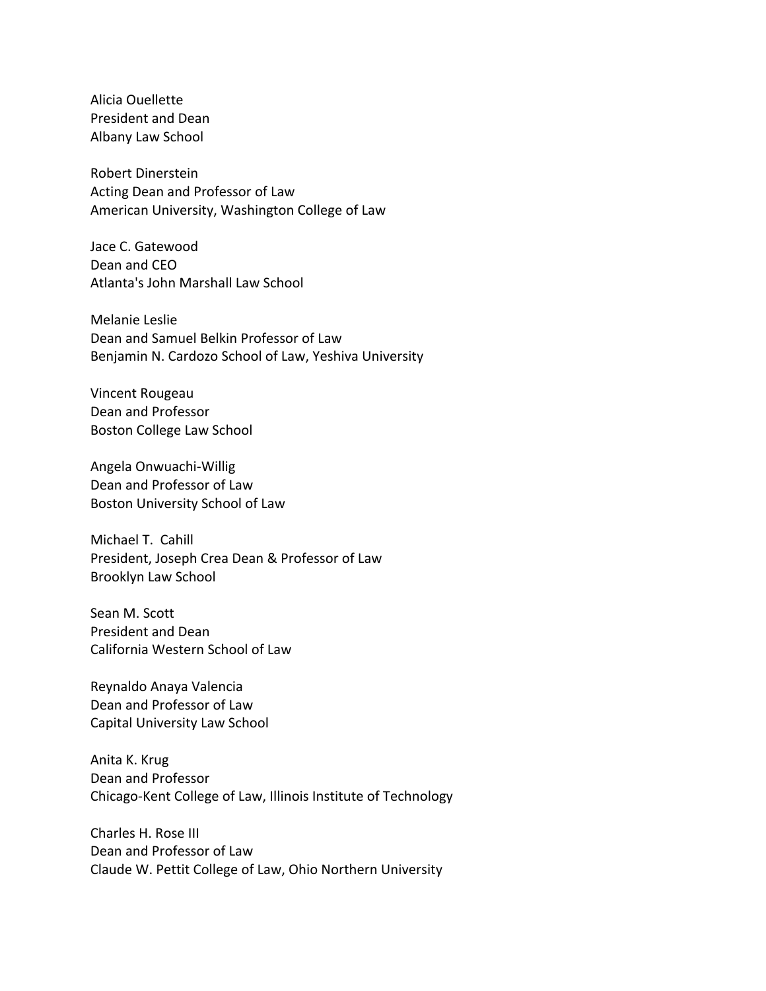Alicia Ouellette President and Dean Albany Law School

 Robert Dinerstein Acting Dean and Professor of Law American University, Washington College of Law

 Jace C. Gatewood Dean and CEO Atlanta's John Marshall Law School

 Melanie Leslie Dean and Samuel Belkin Professor of Law Benjamin N. Cardozo School of Law, Yeshiva University

 Vincent Rougeau Dean and Professor Boston College Law School

 Dean and Professor of Law Boston University School of Law Angela Onwuachi-Willig

 Michael T. Cahill President, Joseph Crea Dean & Professor of Law Brooklyn Law School

 Sean M. Scott President and Dean California Western School of Law

 Reynaldo Anaya Valencia Dean and Professor of Law Capital University Law School

 Anita K. Krug Dean and Professor Chicago-Kent College of Law, Illinois Institute of Technology

 Charles H. Rose III Dean and Professor of Law Claude W. Pettit College of Law, Ohio Northern University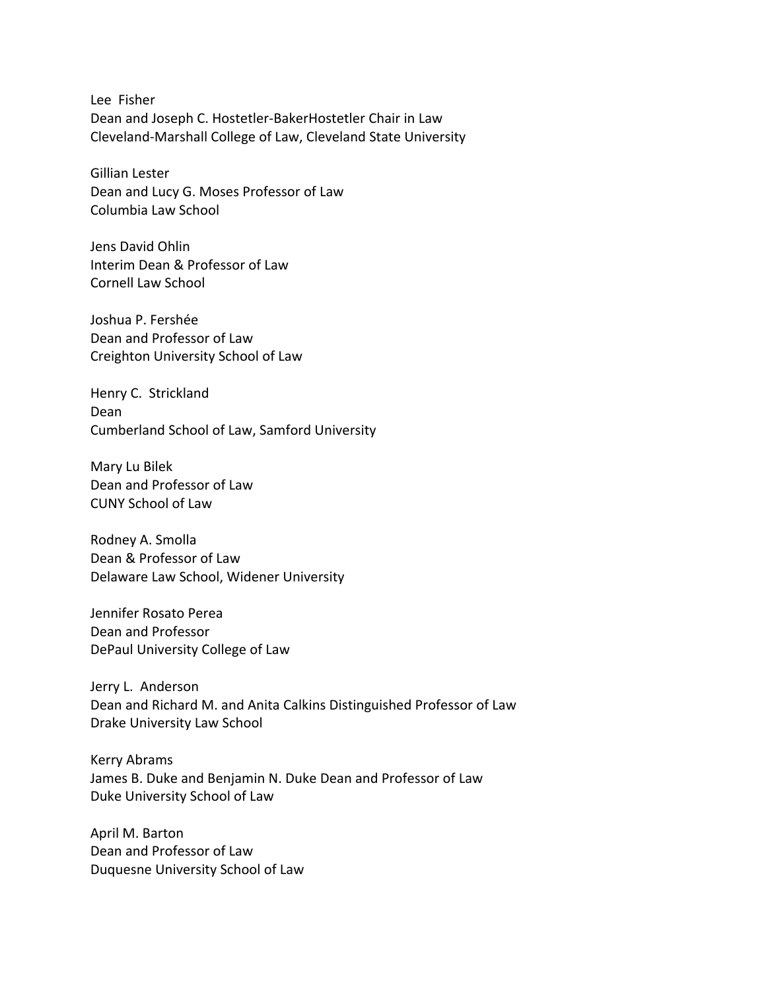Lee Fisher Dean and Joseph C. Hostetler-BakerHostetler Chair in Law Cleveland-Marshall College of Law, Cleveland State University

 Gillian Lester Dean and Lucy G. Moses Professor of Law Columbia Law School

 Jens David Ohlin Interim Dean & Professor of Law Cornell Law School

 Joshua P. Fershée Dean and Professor of Law Creighton University School of Law

 Henry C. Strickland Cumberland School of Law, Samford University Dean

 Mary Lu Bilek Dean and Professor of Law CUNY School of Law

 Rodney A. Smolla Dean & Professor of Law Delaware Law School, Widener University

 Jennifer Rosato Perea Dean and Professor DePaul University College of Law

 Dean and Richard M. and Anita Calkins Distinguished Professor of Law Drake University Law School Jerry L. Anderson

 Kerry Abrams James B. Duke and Benjamin N. Duke Dean and Professor of Law Duke University School of Law

 April M. Barton Dean and Professor of Law Duquesne University School of Law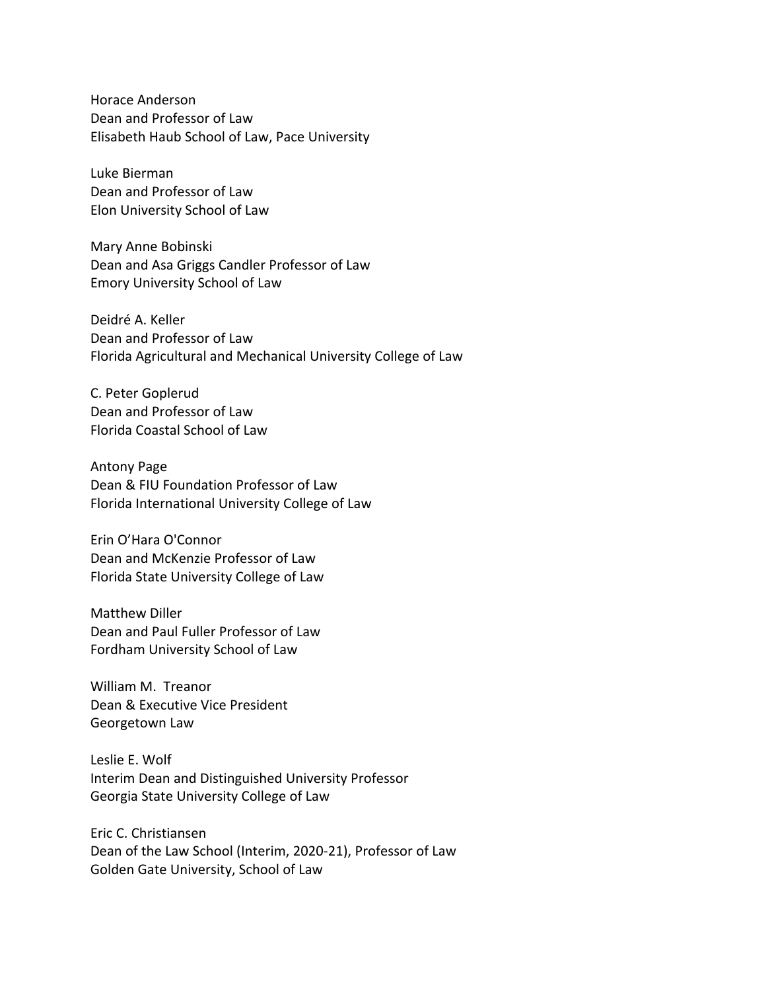Horace Anderson Dean and Professor of Law Elisabeth Haub School of Law, Pace University

 Luke Bierman Dean and Professor of Law Elon University School of Law

 Mary Anne Bobinski Dean and Asa Griggs Candler Professor of Law Emory University School of Law

 Deidré A. Keller Dean and Professor of Law Florida Agricultural and Mechanical University College of Law

 C. Peter Goplerud Dean and Professor of Law Florida Coastal School of Law

 Antony Page Dean & FIU Foundation Professor of Law Florida International University College of Law

 Erin O'Hara O'Connor Dean and McKenzie Professor of Law Florida State University College of Law

 Matthew Diller Dean and Paul Fuller Professor of Law Fordham University School of Law

 William M. Treanor Dean & Executive Vice President Georgetown Law

 Leslie E. Wolf Interim Dean and Distinguished University Professor Georgia State University College of Law

 Dean of the Law School (Interim, 2020-21), Professor of Law Golden Gate University, School of Law Eric C. Christiansen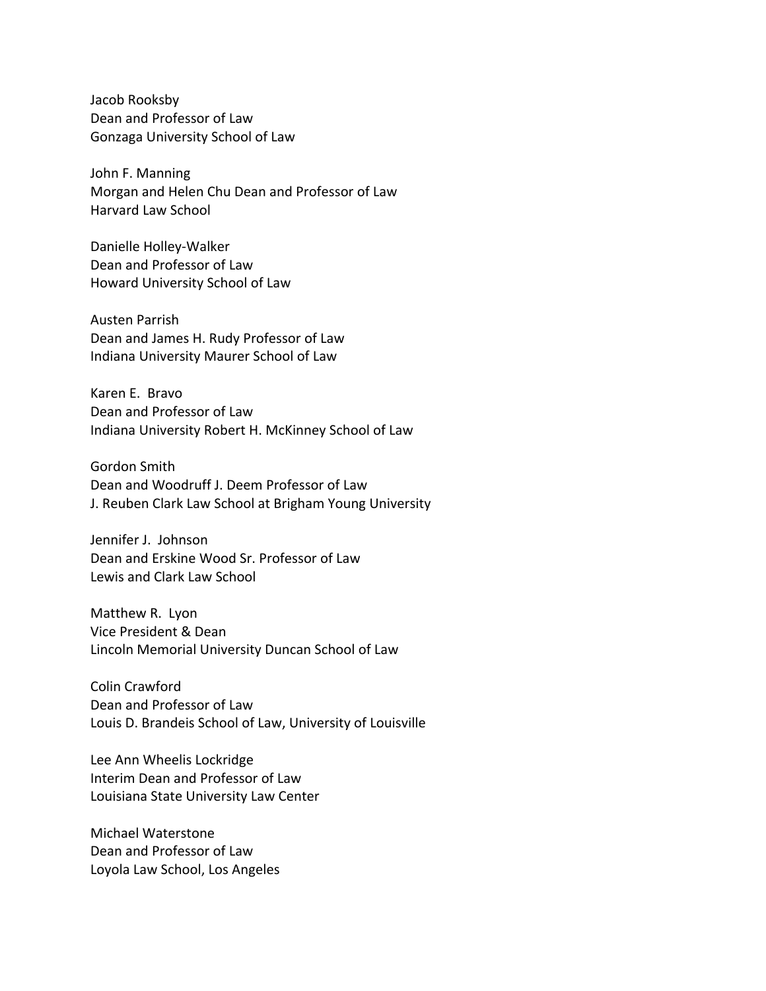Jacob Rooksby Dean and Professor of Law Gonzaga University School of Law

 John F. Manning Morgan and Helen Chu Dean and Professor of Law Harvard Law School

 Dean and Professor of Law Howard University School of Law Danielle Holley-Walker

 Austen Parrish Dean and James H. Rudy Professor of Law Indiana University Maurer School of Law

 Karen E. Bravo Dean and Professor of Law Indiana University Robert H. McKinney School of Law

 Gordon Smith Dean and Woodruff J. Deem Professor of Law J. Reuben Clark Law School at Brigham Young University

 Jennifer J. Johnson Dean and Erskine Wood Sr. Professor of Law Lewis and Clark Law School

 Matthew R. Lyon Vice President & Dean Lincoln Memorial University Duncan School of Law

 Colin Crawford Dean and Professor of Law Louis D. Brandeis School of Law, University of Louisville

 Lee Ann Wheelis Lockridge Interim Dean and Professor of Law Louisiana State University Law Center

 Michael Waterstone Dean and Professor of Law Loyola Law School, Los Angeles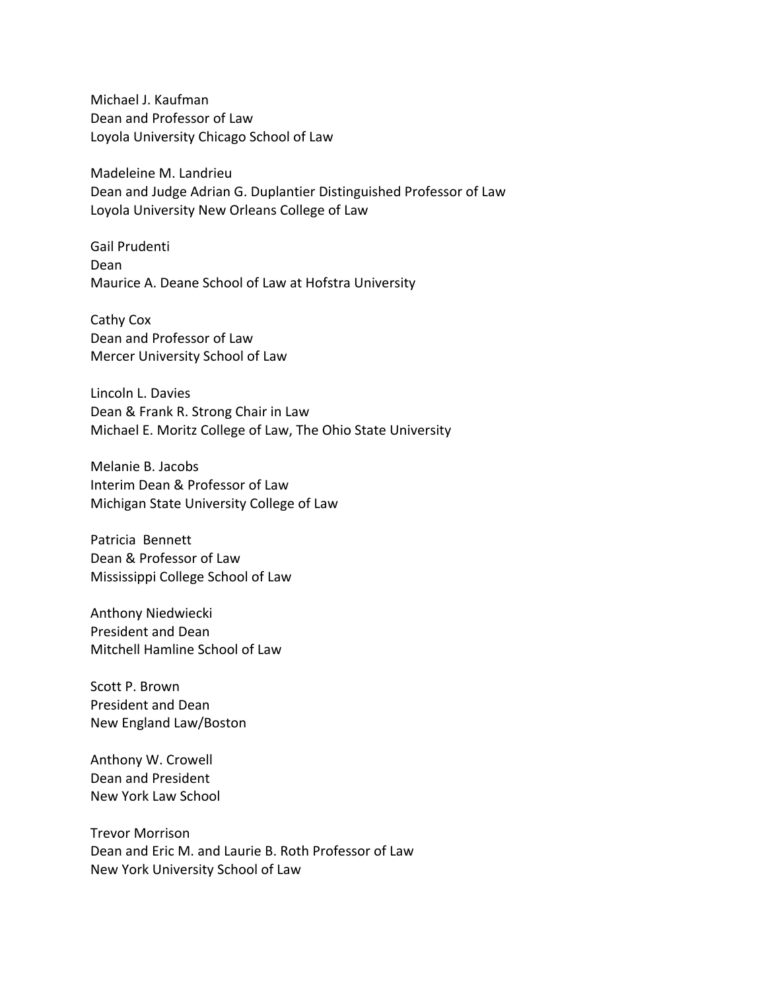Michael J. Kaufman Dean and Professor of Law Loyola University Chicago School of Law

 Madeleine M. Landrieu Dean and Judge Adrian G. Duplantier Distinguished Professor of Law Loyola University New Orleans College of Law

 Gail Prudenti Maurice A. Deane School of Law at Hofstra University Dean

 Cathy Cox Dean and Professor of Law Mercer University School of Law

 Lincoln L. Davies Dean & Frank R. Strong Chair in Law Michael E. Moritz College of Law, The Ohio State University

 Melanie B. Jacobs Interim Dean & Professor of Law Michigan State University College of Law

 Patricia Bennett Dean & Professor of Law Mississippi College School of Law

 Anthony Niedwiecki President and Dean Mitchell Hamline School of Law

 Scott P. Brown President and Dean New England Law/Boston

 Anthony W. Crowell Dean and President New York Law School

 Trevor Morrison Dean and Eric M. and Laurie B. Roth Professor of Law New York University School of Law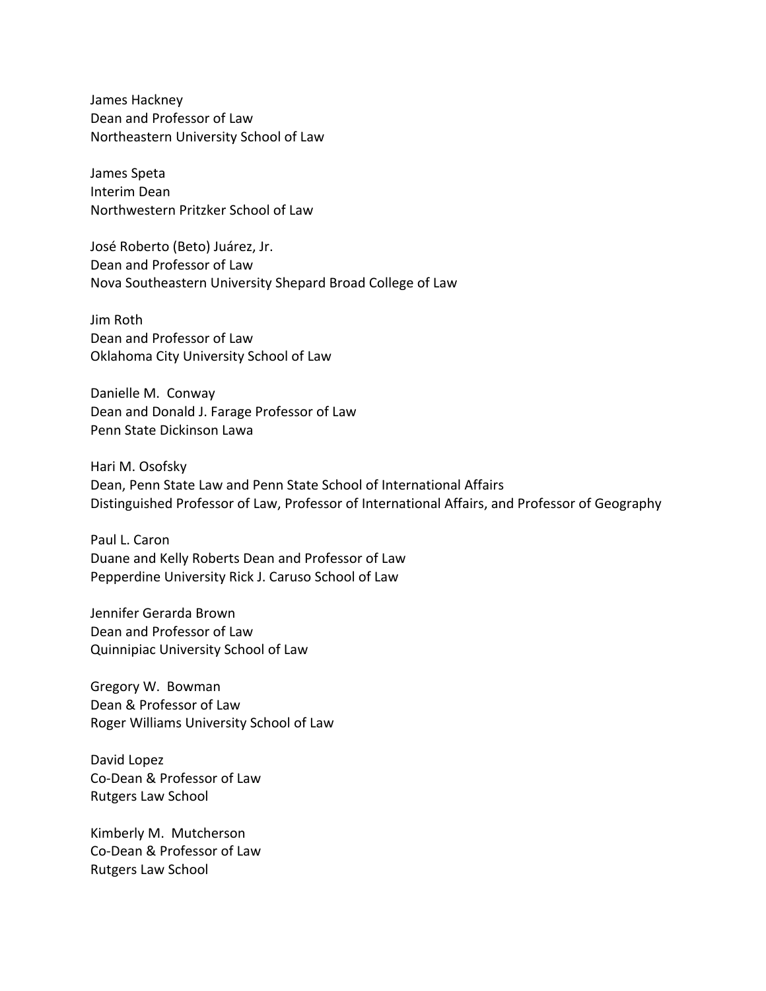James Hackney Dean and Professor of Law Northeastern University School of Law

 James Speta Interim Dean Northwestern Pritzker School of Law

 José Roberto (Beto) Juárez, Jr. Dean and Professor of Law Nova Southeastern University Shepard Broad College of Law

 Jim Roth Dean and Professor of Law Oklahoma City University School of Law

 Danielle M. Conway Dean and Donald J. Farage Professor of Law Penn State Dickinson Lawa

 Hari M. Osofsky Dean, Penn State Law and Penn State School of International Affairs Distinguished Professor of Law, Professor of International Affairs, and Professor of Geography

 Paul L. Caron Duane and Kelly Roberts Dean and Professor of Law Pepperdine University Rick J. Caruso School of Law

 Jennifer Gerarda Brown Dean and Professor of Law Quinnipiac University School of Law

 Gregory W. Bowman Dean & Professor of Law Roger Williams University School of Law

 David Lopez Co-Dean & Professor of Law Rutgers Law School

 Kimberly M. Mutcherson Co-Dean & Professor of Law Rutgers Law School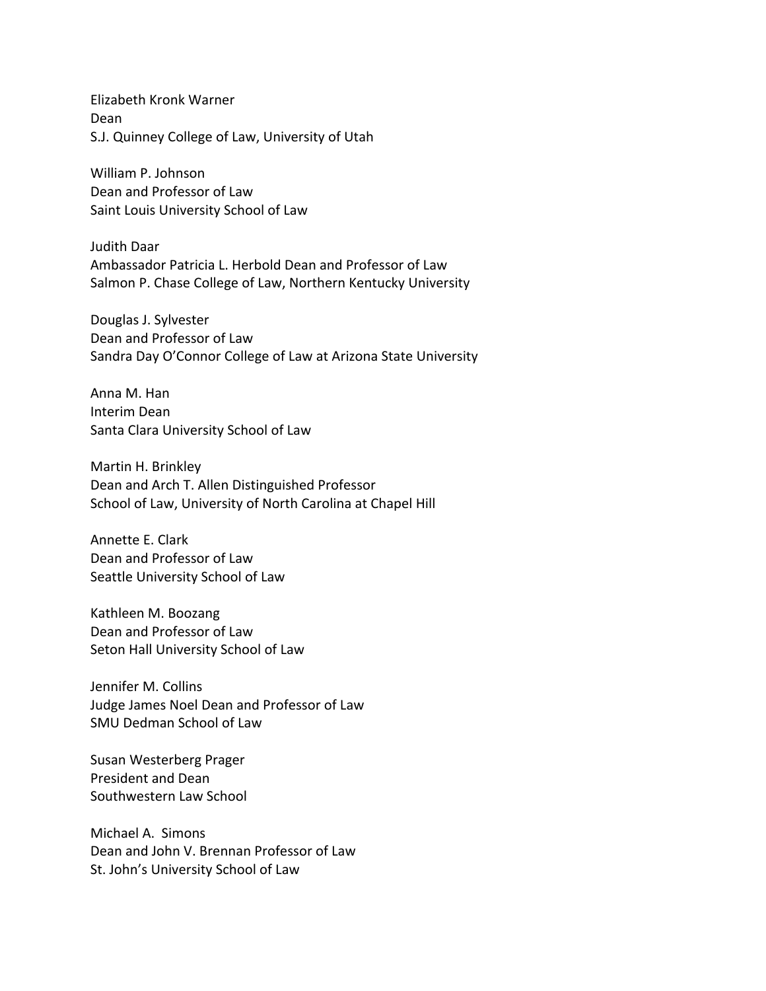Elizabeth Kronk Warner S.J. Quinney College of Law, University of Utah Dean

 William P. Johnson Dean and Professor of Law Saint Louis University School of Law

 Judith Daar Ambassador Patricia L. Herbold Dean and Professor of Law Salmon P. Chase College of Law, Northern Kentucky University

 Douglas J. Sylvester Dean and Professor of Law Sandra Day O'Connor College of Law at Arizona State University

 Anna M. Han Interim Dean Santa Clara University School of Law

 Martin H. Brinkley Dean and Arch T. Allen Distinguished Professor School of Law, University of North Carolina at Chapel Hill

 Annette E. Clark Dean and Professor of Law Seattle University School of Law

 Kathleen M. Boozang Dean and Professor of Law Seton Hall University School of Law

 Jennifer M. Collins Judge James Noel Dean and Professor of Law SMU Dedman School of Law

 Susan Westerberg Prager President and Dean Southwestern Law School

 Michael A. Simons Dean and John V. Brennan Professor of Law St. John's University School of Law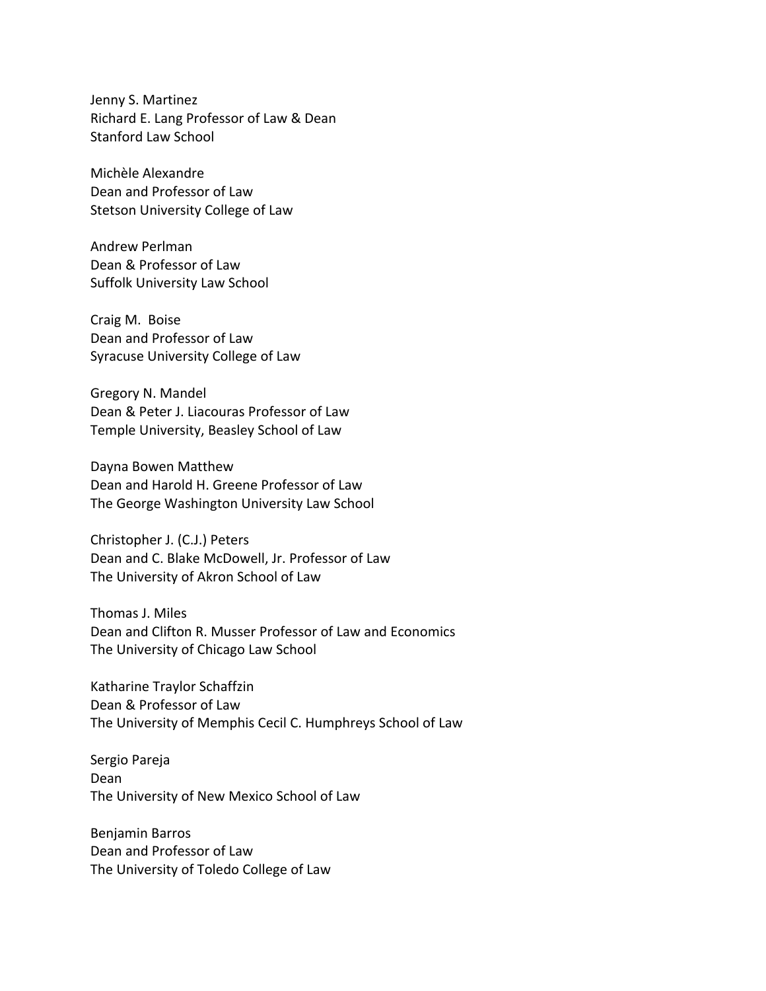Jenny S. Martinez Richard E. Lang Professor of Law & Dean Stanford Law School

 Michèle Alexandre Dean and Professor of Law Stetson University College of Law

 Andrew Perlman Dean & Professor of Law Suffolk University Law School

 Craig M. Boise Dean and Professor of Law Syracuse University College of Law

 Gregory N. Mandel Dean & Peter J. Liacouras Professor of Law Temple University, Beasley School of Law

 Dayna Bowen Matthew Dean and Harold H. Greene Professor of Law The George Washington University Law School

 Christopher J. (C.J.) Peters Dean and C. Blake McDowell, Jr. Professor of Law The University of Akron School of Law

 Thomas J. Miles Dean and Clifton R. Musser Professor of Law and Economics The University of Chicago Law School

 Katharine Traylor Schaffzin Dean & Professor of Law The University of Memphis Cecil C. Humphreys School of Law

 Sergio Pareja The University of New Mexico School of Law Dean

 Benjamin Barros Dean and Professor of Law The University of Toledo College of Law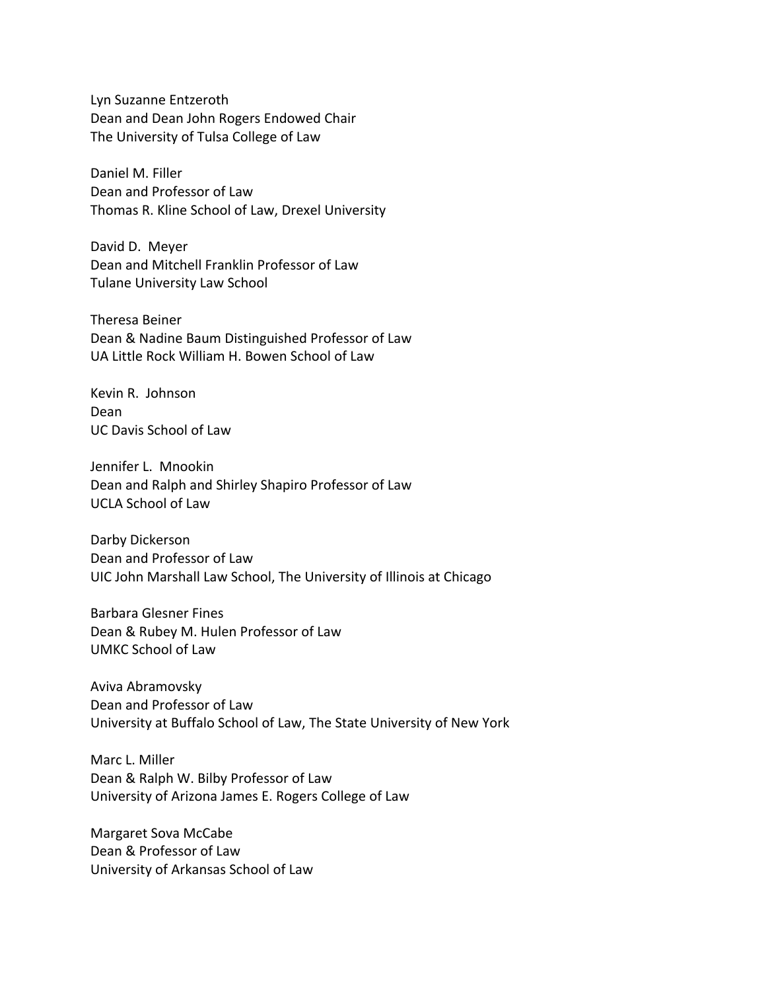Lyn Suzanne Entzeroth Dean and Dean John Rogers Endowed Chair The University of Tulsa College of Law

 Daniel M. Filler Dean and Professor of Law Thomas R. Kline School of Law, Drexel University

 David D. Meyer Dean and Mitchell Franklin Professor of Law Tulane University Law School

 Theresa Beiner Dean & Nadine Baum Distinguished Professor of Law UA Little Rock William H. Bowen School of Law

 Kevin R. Johnson UC Davis School of Law Dean

 Jennifer L. Mnookin Dean and Ralph and Shirley Shapiro Professor of Law UCLA School of Law

 Darby Dickerson Dean and Professor of Law UIC John Marshall Law School, The University of Illinois at Chicago

 Dean & Rubey M. Hulen Professor of Law UMKC School of Law Barbara Glesner Fines

 Dean and Professor of Law University at Buffalo School of Law, The State University of New York Aviva Abramovsky

 Marc L. Miller Dean & Ralph W. Bilby Professor of Law University of Arizona James E. Rogers College of Law

 Margaret Sova McCabe Dean & Professor of Law University of Arkansas School of Law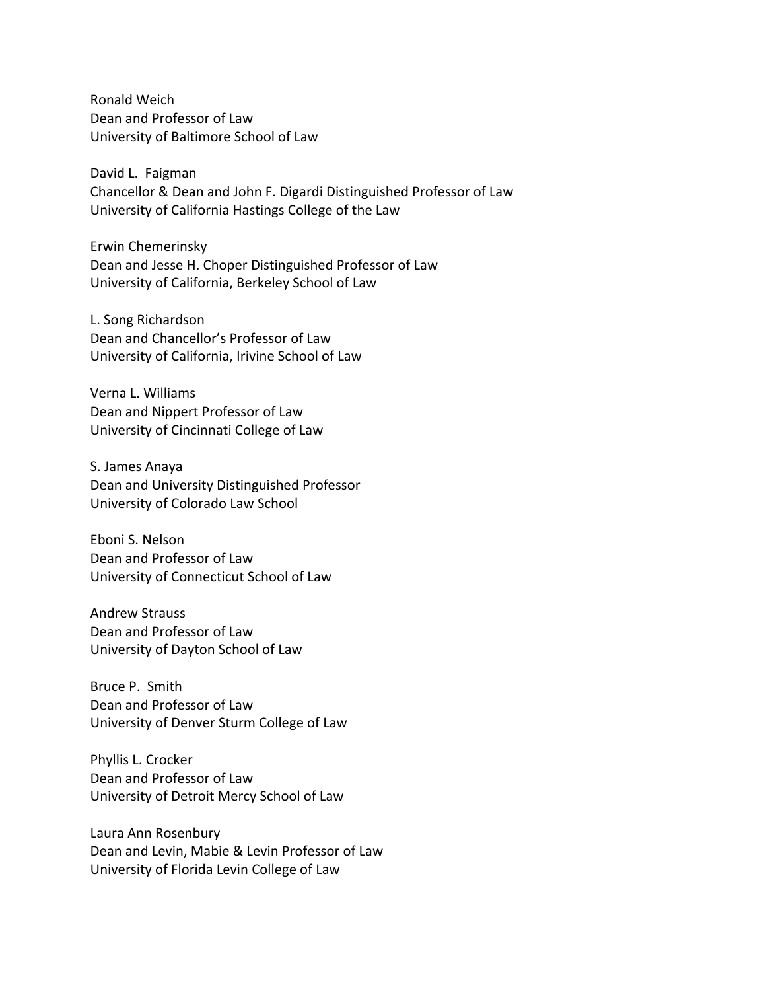Ronald Weich Dean and Professor of Law University of Baltimore School of Law

 David L. Faigman Chancellor & Dean and John F. Digardi Distinguished Professor of Law University of California Hastings College of the Law

 Dean and Jesse H. Choper Distinguished Professor of Law University of California, Berkeley School of Law Erwin Chemerinsky

 L. Song Richardson Dean and Chancellor's Professor of Law University of California, Irivine School of Law

 Verna L. Williams Dean and Nippert Professor of Law University of Cincinnati College of Law

 S. James Anaya Dean and University Distinguished Professor University of Colorado Law School

 Eboni S. Nelson Dean and Professor of Law University of Connecticut School of Law

 Andrew Strauss Dean and Professor of Law University of Dayton School of Law

 Bruce P. Smith Dean and Professor of Law University of Denver Sturm College of Law

 Phyllis L. Crocker Dean and Professor of Law University of Detroit Mercy School of Law

 Laura Ann Rosenbury Dean and Levin, Mabie & Levin Professor of Law University of Florida Levin College of Law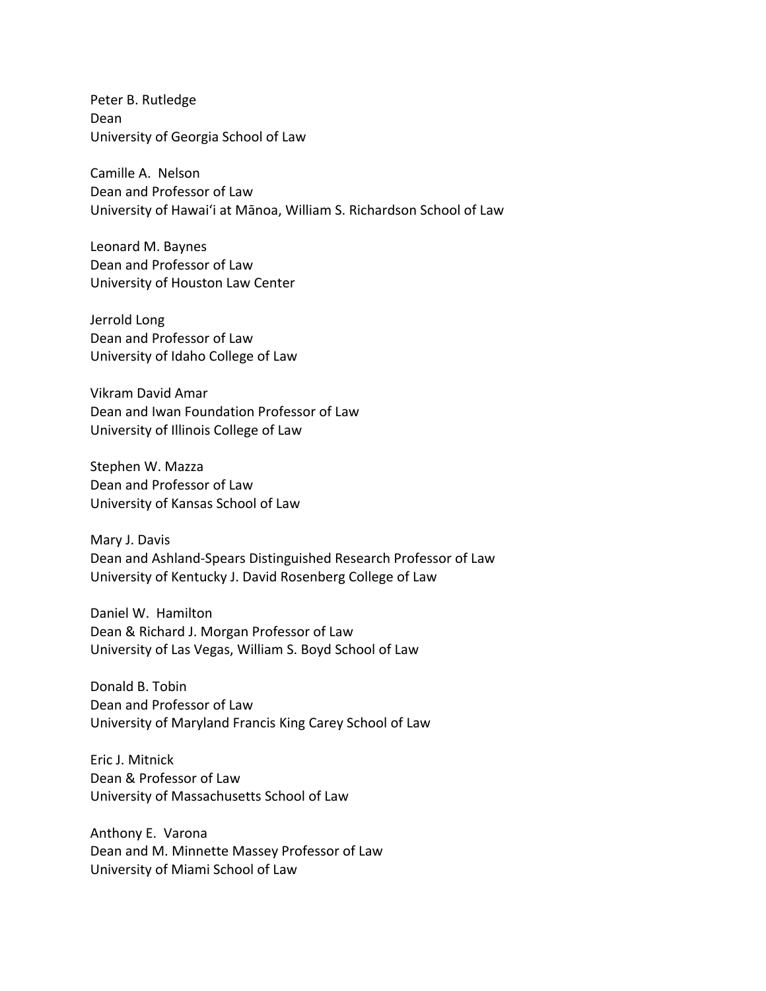Peter B. Rutledge University of Georgia School of Law Dean

 Camille A. Nelson Dean and Professor of Law University of Hawai'i at Mānoa, William S. Richardson School of Law

 Leonard M. Baynes Dean and Professor of Law University of Houston Law Center

 Jerrold Long Dean and Professor of Law University of Idaho College of Law

 Vikram David Amar Dean and Iwan Foundation Professor of Law University of Illinois College of Law

 Stephen W. Mazza Dean and Professor of Law University of Kansas School of Law

 Mary J. Davis Dean and Ashland-Spears Distinguished Research Professor of Law University of Kentucky J. David Rosenberg College of Law

 Daniel W. Hamilton Dean & Richard J. Morgan Professor of Law University of Las Vegas, William S. Boyd School of Law

 Donald B. Tobin Dean and Professor of Law University of Maryland Francis King Carey School of Law

 Eric J. Mitnick Dean & Professor of Law University of Massachusetts School of Law

 Anthony E. Varona Dean and M. Minnette Massey Professor of Law University of Miami School of Law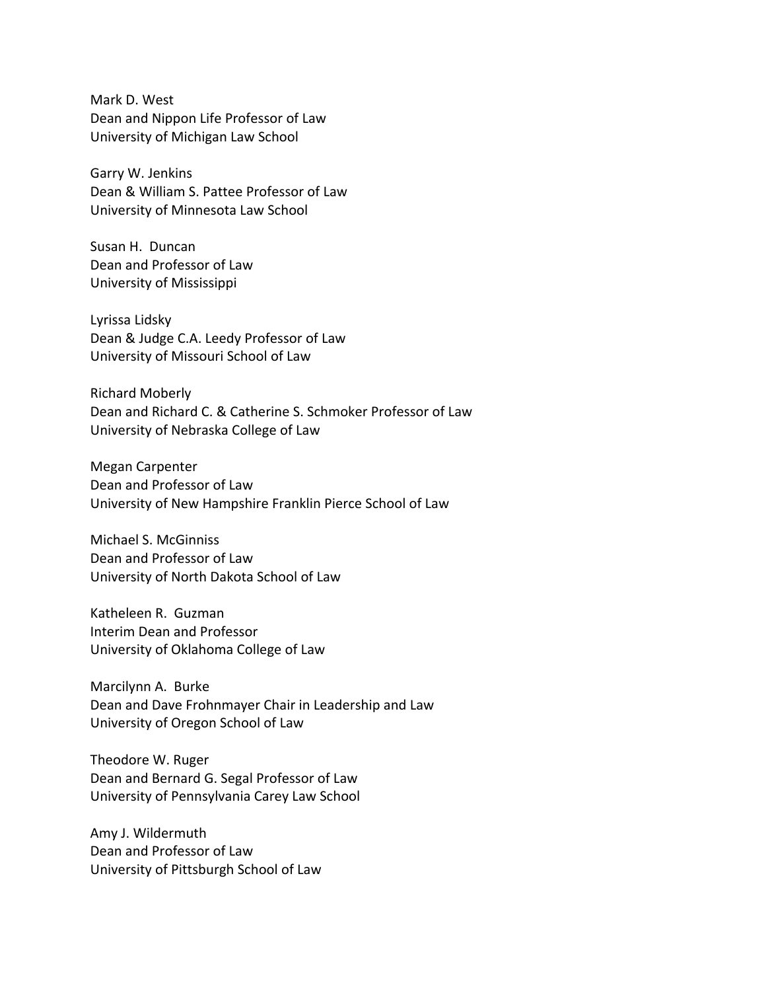Mark D. West Dean and Nippon Life Professor of Law University of Michigan Law School

 Garry W. Jenkins Dean & William S. Pattee Professor of Law University of Minnesota Law School

 Susan H. Duncan Dean and Professor of Law University of Mississippi

 Lyrissa Lidsky Dean & Judge C.A. Leedy Professor of Law University of Missouri School of Law

 Richard Moberly Dean and Richard C. & Catherine S. Schmoker Professor of Law University of Nebraska College of Law

 Megan Carpenter Dean and Professor of Law University of New Hampshire Franklin Pierce School of Law

 Michael S. McGinniss Dean and Professor of Law University of North Dakota School of Law

 Katheleen R. Guzman Interim Dean and Professor University of Oklahoma College of Law

 Marcilynn A. Burke Dean and Dave Frohnmayer Chair in Leadership and Law University of Oregon School of Law

 Theodore W. Ruger Dean and Bernard G. Segal Professor of Law University of Pennsylvania Carey Law School

 Amy J. Wildermuth Dean and Professor of Law University of Pittsburgh School of Law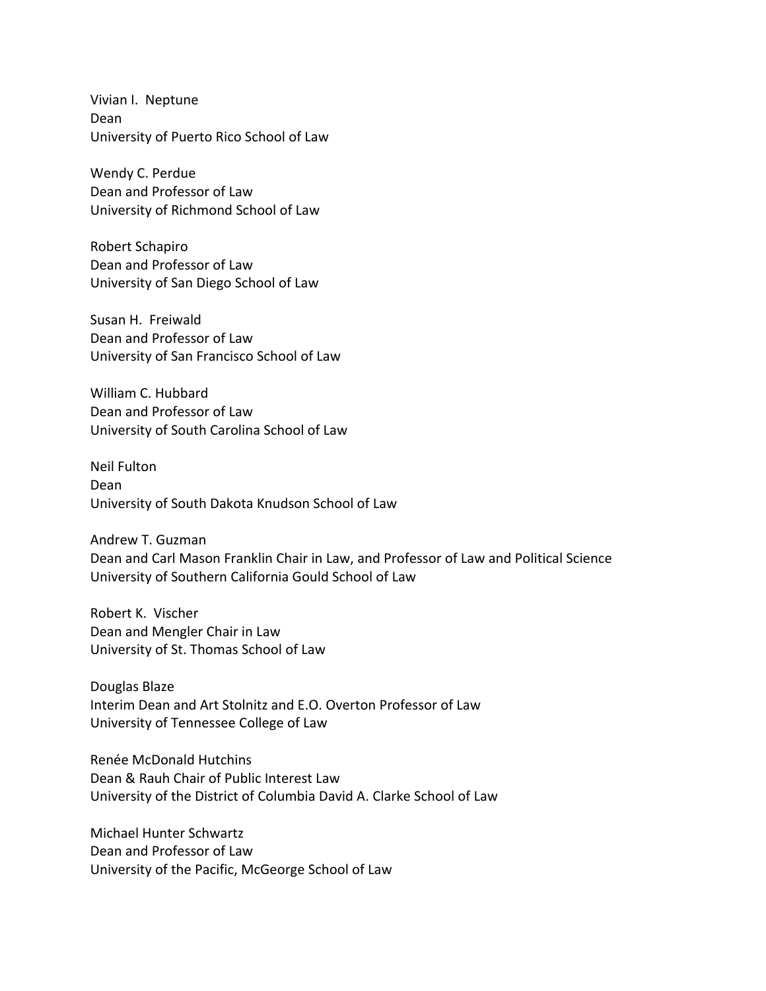Vivian I. Neptune University of Puerto Rico School of Law Dean

 Wendy C. Perdue Dean and Professor of Law University of Richmond School of Law

 Robert Schapiro Dean and Professor of Law University of San Diego School of Law

 Susan H. Freiwald Dean and Professor of Law University of San Francisco School of Law

 William C. Hubbard Dean and Professor of Law University of South Carolina School of Law

 Neil Fulton University of South Dakota Knudson School of Law Dean

 Andrew T. Guzman Dean and Carl Mason Franklin Chair in Law, and Professor of Law and Political Science University of Southern California Gould School of Law

 Robert K. Vischer Dean and Mengler Chair in Law University of St. Thomas School of Law

 Douglas Blaze Interim Dean and Art Stolnitz and E.O. Overton Professor of Law University of Tennessee College of Law

 Renée McDonald Hutchins Dean & Rauh Chair of Public Interest Law University of the District of Columbia David A. Clarke School of Law

 Michael Hunter Schwartz Dean and Professor of Law University of the Pacific, McGeorge School of Law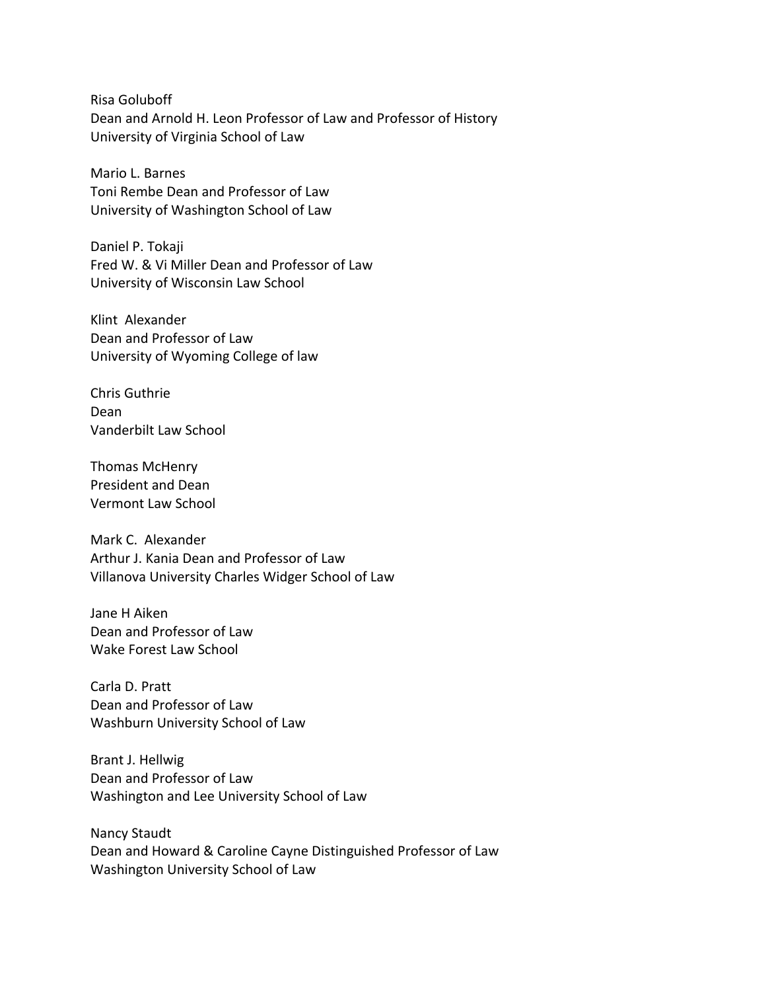Risa Goluboff Dean and Arnold H. Leon Professor of Law and Professor of History University of Virginia School of Law

 Mario L. Barnes Toni Rembe Dean and Professor of Law University of Washington School of Law

 Daniel P. Tokaji Fred W. & Vi Miller Dean and Professor of Law University of Wisconsin Law School

 Klint Alexander Dean and Professor of Law University of Wyoming College of law

 Chris Guthrie Vanderbilt Law School Dean

 Thomas McHenry President and Dean Vermont Law School

 Mark C. Alexander Arthur J. Kania Dean and Professor of Law Villanova University Charles Widger School of Law

 Jane H Aiken Dean and Professor of Law Wake Forest Law School

 Carla D. Pratt Dean and Professor of Law Washburn University School of Law

 Brant J. Hellwig Dean and Professor of Law Washington and Lee University School of Law

 Nancy Staudt Dean and Howard & Caroline Cayne Distinguished Professor of Law Washington University School of Law